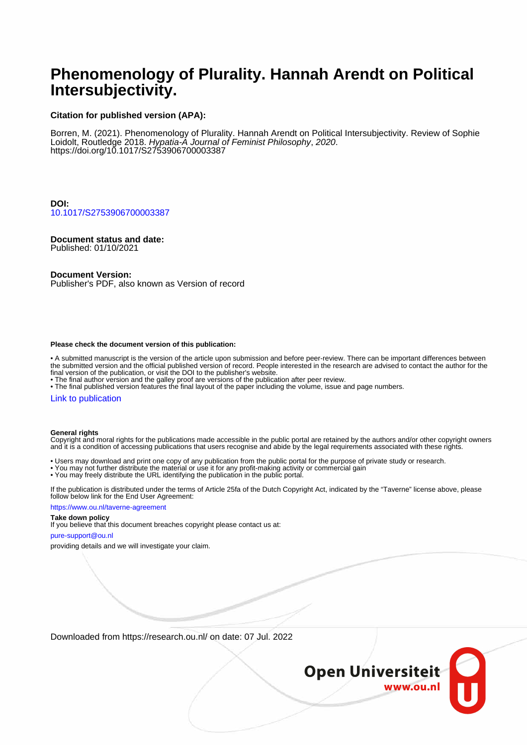# **Phenomenology of Plurality. Hannah Arendt on Political Intersubjectivity.**

### **Citation for published version (APA):**

Borren, M. (2021). Phenomenology of Plurality. Hannah Arendt on Political Intersubjectivity. Review of Sophie Loidolt, Routledge 2018. Hypatia-A Journal of Feminist Philosophy, 2020. <https://doi.org/10.1017/S2753906700003387>

**DOI:** [10.1017/S2753906700003387](https://doi.org/10.1017/S2753906700003387)

### **Document status and date:**

Published: 01/10/2021

#### **Document Version:**

Publisher's PDF, also known as Version of record

#### **Please check the document version of this publication:**

• A submitted manuscript is the version of the article upon submission and before peer-review. There can be important differences between the submitted version and the official published version of record. People interested in the research are advised to contact the author for the final version of the publication, or visit the DOI to the publisher's website.

• The final author version and the galley proof are versions of the publication after peer review.

• The final published version features the final layout of the paper including the volume, issue and page numbers.

#### [Link to publication](https://research.ou.nl/en/publications/99b2a3af-0747-4664-8f76-a079fbd463c5)

#### **General rights**

Copyright and moral rights for the publications made accessible in the public portal are retained by the authors and/or other copyright owners and it is a condition of accessing publications that users recognise and abide by the legal requirements associated with these rights.

- Users may download and print one copy of any publication from the public portal for the purpose of private study or research.
- You may not further distribute the material or use it for any profit-making activity or commercial gain
- You may freely distribute the URL identifying the publication in the public portal.

If the publication is distributed under the terms of Article 25fa of the Dutch Copyright Act, indicated by the "Taverne" license above, please follow below link for the End User Agreement:

#### https://www.ou.nl/taverne-agreement

## **Take down policy**

If you believe that this document breaches copyright please contact us at:

#### pure-support@ou.nl

providing details and we will investigate your claim.

Downloaded from https://research.ou.nl/ on date: 07 Jul. 2022

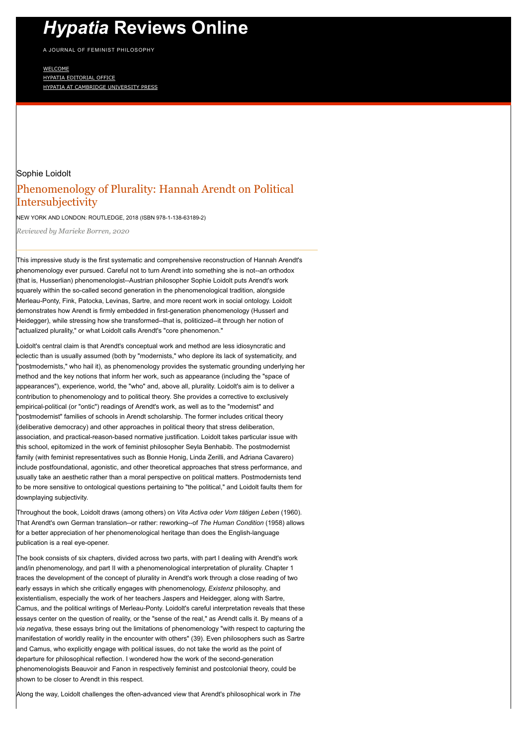# *Hypatia* **[Reviews Online](https://www.hypatiareviews.org/)**

A JOURNAL OF FEMINIST PHILOSOPHY

[WELCOME](http://hypatiaphilosophy.org/) [HYPATIA EDITORIAL OFFICE](http://hypatiaphilosophy.org/about/edandgovboards/) [HYPATIA AT CAMBRIDGE UNIVERSITY PRESS](https://www.cambridge.org/core/journals/hypatia)

# Sophie Loidolt Phenomenology of Plurality: Hannah Arendt on Political Intersubjectivity

NEW YORK AND LONDON: ROUTLEDGE, 2018 (ISBN 978-1-138-63189-2)

*Reviewed by Marieke Borren, 2020*

This impressive study is the first systematic and comprehensive reconstruction of Hannah Arendt's phenomenology ever pursued. Careful not to turn Arendt into something she is not--an orthodox (that is, Husserlian) phenomenologist--Austrian philosopher Sophie Loidolt puts Arendt's work squarely within the so-called second generation in the phenomenological tradition, alongside Merleau-Ponty, Fink, Patocka, Levinas, Sartre, and more recent work in social ontology. Loidolt demonstrates how Arendt is firmly embedded in first-generation phenomenology (Husserl and Heidegger), while stressing how she transformed--that is, politicized--it through her notion of "actualized plurality," or what Loidolt calls Arendt's "core phenomenon."

Loidolt's central claim is that Arendt's conceptual work and method are less idiosyncratic and eclectic than is usually assumed (both by "modernists," who deplore its lack of systematicity, and "postmodernists," who hail it), as phenomenology provides the systematic grounding underlying her method and the key notions that inform her work, such as appearance (including the "space of appearances"), experience, world, the "who" and, above all, plurality. Loidolt's aim is to deliver a contribution to phenomenology and to political theory. She provides a corrective to exclusively empirical-political (or "ontic") readings of Arendt's work, as well as to the "modernist" and "postmodernist" families of schools in Arendt scholarship. The former includes critical theory (deliberative democracy) and other approaches in political theory that stress deliberation, association, and practical-reason-based normative justification. Loidolt takes particular issue with this school, epitomized in the work of feminist philosopher Seyla Benhabib. The postmodernist family (with feminist representatives such as Bonnie Honig, Linda Zerilli, and Adriana Cavarero) include postfoundational, agonistic, and other theoretical approaches that stress performance, and usually take an aesthetic rather than a moral perspective on political matters. Postmodernists tend to be more sensitive to ontological questions pertaining to "the political," and Loidolt faults them for downplaying subjectivity.

Throughout the book, Loidolt draws (among others) on *Vita Activa oder Vom tätigen Leben* (1960). That Arendt's own German translation--or rather: reworking--of *The Human Condition* (1958) allows for a better appreciation of her phenomenological heritage than does the English-language publication is a real eye-opener.

The book consists of six chapters, divided across two parts, with part I dealing with Arendt's work and/in phenomenology, and part II with a phenomenological interpretation of plurality. Chapter 1 traces the development of the concept of plurality in Arendt's work through a close reading of two early essays in which she critically engages with phenomenology, *Existenz* philosophy, and existentialism, especially the work of her teachers Jaspers and Heidegger, along with Sartre, Camus, and the political writings of Merleau-Ponty. Loidolt's careful interpretation reveals that these essays center on the question of reality, or the "sense of the real," as Arendt calls it. By means of a *via negativa,* these essays bring out the limitations of phenomenology "with respect to capturing the manifestation of worldly reality in the encounter with others" (39). Even philosophers such as Sartre and Camus, who explicitly engage with political issues, do not take the world as the point of departure for philosophical reflection. I wondered how the work of the second-generation phenomenologists Beauvoir and Fanon in respectively feminist and postcolonial theory, could be shown to be closer to Arendt in this respect.

Along the way, Loidolt challenges the often-advanced view that Arendt's philosophical work in *The*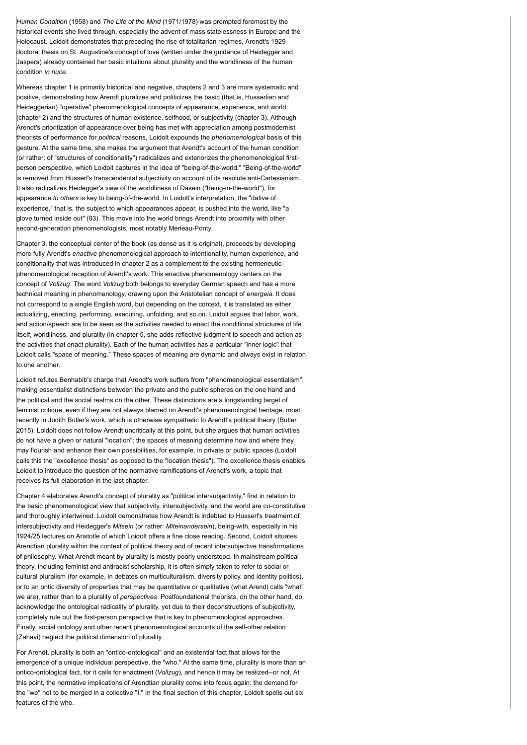*Human Condition* (1958) and *The Life of the Mind* (1971/1978) was prompted foremost by the historical events she lived through, especially the advent of mass statelessness in Europe and the Holocaust. Loidolt demonstrates that preceding the rise of totalitarian regimes, Arendt's 1929 doctoral thesis on St. Augustine's concept of love (written under the guidance of Heidegger and Jaspers) already contained her basic intuitions about plurality and the worldliness of the human condition *in nuce*.

Whereas chapter 1 is primarily historical and negative, chapters 2 and 3 are more systematic and positive, demonstrating how Arendt pluralizes and politicizes the basic (that is, Husserlian and Heideggerian) "operative" phenomenological concepts of appearance, experience, and world (chapter 2) and the structures of human existence, selfhood, or subjectivity (chapter 3). Although Arendt's prioritization of appearance over being has met with appreciation among postmodernist theorists of performance for *political* reasons, Loidolt expounds the *phenomenological* basis of this gesture. At the same time, she makes the argument that Arendt's account of the human condition (or rather: of "structures of conditionality") radicalizes and exteriorizes the phenomenological firstperson perspective, which Loidolt captures in the idea of "being-of-the-world." "Being-of-the-world" is removed from Husserl's transcendental subjectivity on account of its resolute anti-Cartesianism. It also radicalizes Heidegger's view of the worldliness of Dasein ("being-in-the-world"), for appearance *to others* is key to being-of-the-world. In Loidolt's interpretation, the "dative of experience," that is, the subject to which appearances appear, is pushed into the world, like "a glove turned inside out" (93). This move into the world brings Arendt into proximity with other second-generation phenomenologists, most notably Merleau-Ponty.

Chapter 3, the conceptual center of the book (as dense as it is original), proceeds by developing more fully Arendt's *enactive* phenomenological approach to intentionality, human experience, and conditionality that was introduced in chapter 2 as a complement to the existing hermeneuticphenomenological reception of Arendt's work. This enactive phenomenology centers on the concept of *Vollzug*. The word *Vollzug* both belongs to everyday German speech and has a more technical meaning in phenomenology, drawing upon the Aristotelian concept of *energeia.* It does not correspond to a single English word, but depending on the context, it is translated as either actualizing, enacting, performing, executing, unfolding, and so on. Loidolt argues that labor, work, and action/speech are to be seen as the activities needed to enact the conditional structures of life itself, worldliness, and plurality (in chapter 5, she adds reflective judgment to speech and action as the activities that enact plurality). Each of the human activities has a particular "inner logic" that Loidolt calls "space of meaning." These spaces of meaning are dynamic and always exist in relation to one another.

Loidolt refutes Benhabib's charge that Arendt's work suffers from "phenomenological essentialism": making essentialist distinctions between the private and the public spheres on the one hand and the political and the social realms on the other. These distinctions are a longstanding target of feminist critique, even if they are not always blamed on Arendt's phenomenological heritage, most recently in Judith Butler's work, which is otherwise sympathetic to Arendt's political theory (Butler 2015). Loidolt does not follow Arendt uncritically at this point, but she argues that human activities do not have a given or natural "location"; the spaces of meaning determine how and where they may flourish and enhance their own possibilities, for example, in private or public spaces (Loidolt calls this the "excellence thesis" as opposed to the "location thesis"). The excellence thesis enables Loidolt to introduce the question of the normative ramifications of Arendt's work, a topic that receives its full elaboration in the last chapter.

Chapter 4 elaborates Arendt's concept of plurality as "political intersubjectivity," first in relation to the basic phenomenological view that subjectivity, intersubjectivity, and the world are co-constitutive and thoroughly intertwined. Loidolt demonstrates how Arendt is indebted to Husserl's treatment of intersubjectivity and Heidegger's *Mitsein* (or rather: *Miteinandersein*), being-with, especially in his 1924/25 lectures on Aristotle of which Loidolt offers a fine close reading. Second, Loidolt situates Arendtian plurality within the context of political theory and of recent intersubjective transformations of philosophy. What Arendt meant by plurality is mostly poorly understood. In mainstream political theory, including feminist and antiracist scholarship, it is often simply taken to refer to social or cultural pluralism (for example, in debates on multiculturalism, diversity policy, and identity politics), or to an ontic diversity of properties that may be quantitative or qualitative (what Arendt calls "what" we are), rather than to a plurality of *perspectives*. Postfoundational theorists, on the other hand, do acknowledge the ontological radicality of plurality, yet due to their deconstructions of subjectivity, completely rule out the first-person perspective that is key to phenomenological approaches. Finally, social ontology and other recent phenomenological accounts of the self-other relation (Zahavi) neglect the political dimension of plurality.

For Arendt, plurality is both an "ontico-ontological" and an existential fact that allows for the emergence of a unique individual perspective, the "who." At the same time, plurality is more than an ontico-ontological fact, for it calls for enactment (*Vollzug*), and hence it may be realized--or not. At this point, the normative implications of Arendtian plurality come into focus again: the demand for the "we" not to be merged in a collective "I." In the final section of this chapter, Loidolt spells out six features of the who.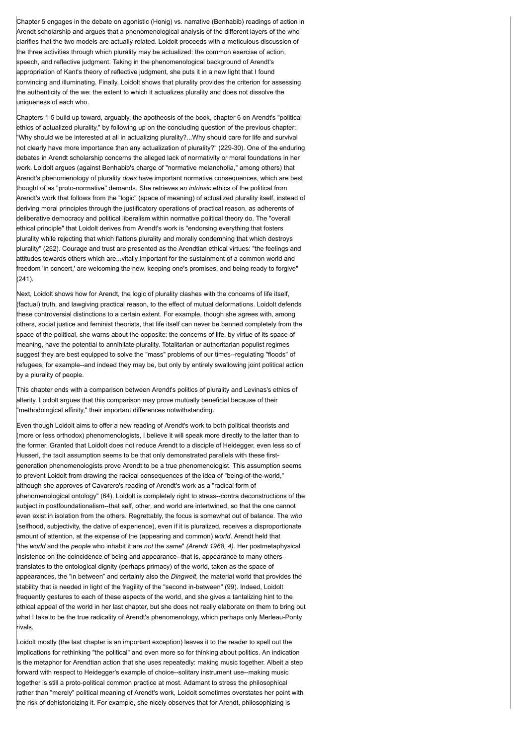Chapter 5 engages in the debate on agonistic (Honig) vs. narrative (Benhabib) readings of action in Arendt scholarship and argues that a phenomenological analysis of the different layers of the who clarifies that the two models are actually related. Loidolt proceeds with a meticulous discussion of the three activities through which plurality may be actualized: the common exercise of action, speech, and reflective judgment. Taking in the phenomenological background of Arendt's appropriation of Kant's theory of reflective judgment, she puts it in a new light that I found convincing and illuminating. Finally, Loidolt shows that plurality provides the criterion for assessing the authenticity of the we: the extent to which it actualizes plurality and does not dissolve the uniqueness of each who.

Chapters 1-5 build up toward, arguably, the apotheosis of the book, chapter 6 on Arendt's "political ethics of actualized plurality," by following up on the concluding question of the previous chapter: "Why should we be interested at all in actualizing plurality?...Why should care for life and survival not clearly have more importance than any actualization of plurality?" (229-30). One of the enduring debates in Arendt scholarship concerns the alleged lack of normativity or moral foundations in her work. Loidolt argues (against Benhabib's charge of "normative melancholia," among others) that Arendt's phenomenology of plurality *does* have important normative consequences, which are best thought of as "proto-normative" demands. She retrieves an *intrinsic* ethics of the political from Arendt's work that follows from the "logic" (space of meaning) of actualized plurality itself, instead of deriving moral principles through the justificatory operations of practical reason, as adherents of deliberative democracy and political liberalism within normative political theory do. The "overall ethical principle" that Loidolt derives from Arendt's work is "endorsing everything that fosters plurality while rejecting that which flattens plurality and morally condemning that which destroys plurality" (252). Courage and trust are presented as the Arendtian ethical virtues: "the feelings and attitudes towards others which are...vitally important for the sustainment of a common world and freedom 'in concert,' are welcoming the new, keeping one's promises, and being ready to forgive"  $(241)$ 

Next, Loidolt shows how for Arendt, the logic of plurality clashes with the concerns of life itself, (factual) truth, and lawgiving practical reason, to the effect of mutual deformations. Loidolt defends these controversial distinctions to a certain extent. For example, though she agrees with, among others, social justice and feminist theorists, that life itself can never be banned completely from the space of the political, she warns about the opposite: the concerns of life, by virtue of its space of meaning, have the potential to annihilate plurality. Totalitarian or authoritarian populist regimes suggest they are best equipped to solve the "mass" problems of our times--regulating "floods" of refugees, for example--and indeed they may be, but only by entirely swallowing joint political action by a plurality of people.

This chapter ends with a comparison between Arendt's politics of plurality and Levinas's ethics of alterity. Loidolt argues that this comparison may prove mutually beneficial because of their "methodological affinity," their important differences notwithstanding.

Even though Loidolt aims to offer a new reading of Arendt's work to both political theorists and (more or less orthodox) phenomenologists, I believe it will speak more directly to the latter than to the former. Granted that Loidolt does not reduce Arendt to a disciple of Heidegger, even less so of Husserl, the tacit assumption seems to be that only demonstrated parallels with these firstgeneration phenomenologists prove Arendt to be a true phenomenologist. This assumption seems to prevent Loidolt from drawing the radical consequences of the idea of "being-of-the-world," although she approves of Cavarero's reading of Arendt's work as a "radical form of phenomenological ontology" (64). Loidolt is completely right to stress--contra deconstructions of the subject in postfoundationalism--that self, other, and world are intertwined, so that the one cannot even exist in isolation from the others. Regrettably, the focus is somewhat out of balance. The *who* (selfhood, subjectivity, the dative of experience), even if it is pluralized, receives a disproportionate amount of attention, at the expense of the (appearing and common) *world*. Arendt held that "the *world* and the *people* who inhabit it are *not* the *same*" *(Arendt 1968, 4).* Her postmetaphysical insistence on the coincidence of being and appearance--that is, appearance to many others- translates to the ontological dignity (perhaps primacy) of the world, taken as the space of appearances, the "in between" and certainly also the *Dingwelt*, the material world that provides the stability that is needed in light of the fragility of the "second in-between" (99). Indeed, Loidolt frequently gestures to each of these aspects of the world, and she gives a tantalizing hint to the ethical appeal of the world in her last chapter, but she does not really elaborate on them to bring out what I take to be the true radicality of Arendt's phenomenology, which perhaps only Merleau-Ponty rivals.

Loidolt mostly (the last chapter is an important exception) leaves it to the reader to spell out the implications for rethinking "the political" and even more so for thinking about politics. An indication is the metaphor for Arendtian action that she uses repeatedly: making music together. Albeit a step forward with respect to Heidegger's example of choice--solitary instrument use--making music together is still a proto-political common practice at most. Adamant to stress the philosophical rather than "merely" political meaning of Arendt's work, Loidolt sometimes overstates her point with the risk of dehistoricizing it. For example, she nicely observes that for Arendt, philosophizing is